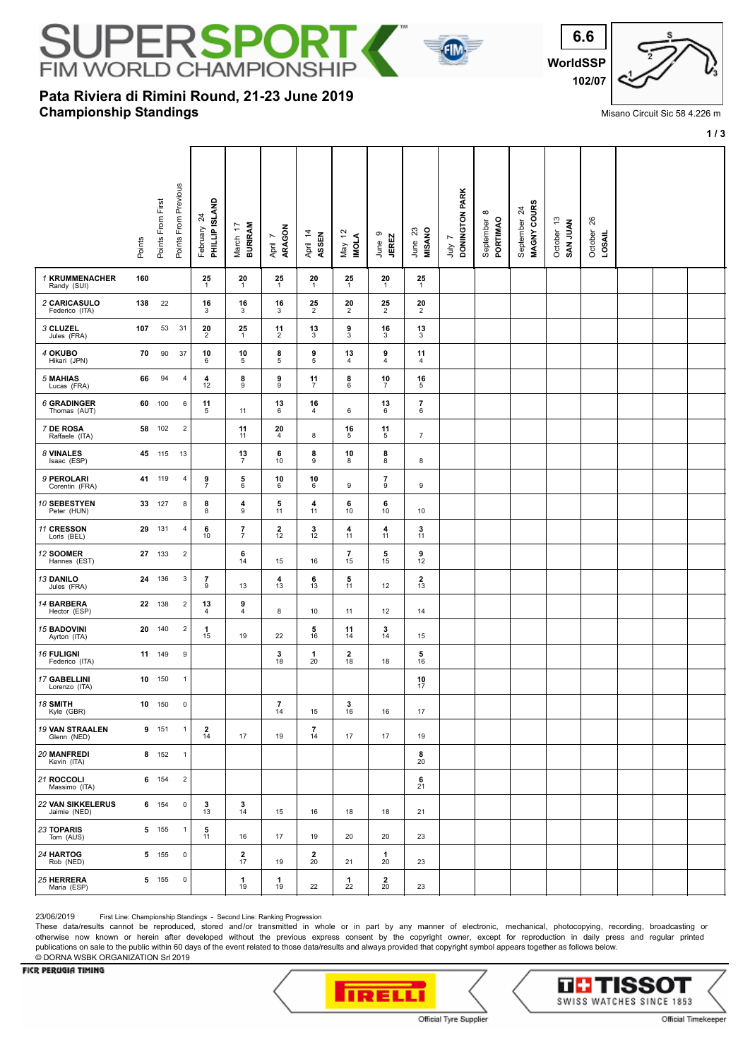

## **Championship Standings Pata Riviera di Rimini Round, 21-23 June 2019**



Misano Circuit Sic 58 4.226 m

**1 / 3**

|                                          | Points From First<br>Points | Points From Previous      | February 24<br>PHILLIP ISLAND | <b>BURIRAM</b><br>March 17                               | April 7<br>ARAGON                           | April 14<br>ASSEN              | May 12<br><b>INOLA</b> | June 9<br><b>JEREZ</b>        | June 23<br>MISANO                     | July 7<br>DONINGTON PARK | $\infty$<br>September &<br>PORTIMAO | September 24<br>MAGNY COURS | October 13<br>SAN JUAN | 26<br>October<br>LOSAIL |  |  |
|------------------------------------------|-----------------------------|---------------------------|-------------------------------|----------------------------------------------------------|---------------------------------------------|--------------------------------|------------------------|-------------------------------|---------------------------------------|--------------------------|-------------------------------------|-----------------------------|------------------------|-------------------------|--|--|
| 1 KRUMMENACHER<br>Randy (SUI)            | 160                         |                           | 25<br>-1                      | 20<br>1                                                  | 25<br>1                                     | 20<br>1                        | 25<br>$\overline{1}$   | 20<br>1                       | 25<br>1                               |                          |                                     |                             |                        |                         |  |  |
| 2 CARICASULO<br>Federico (ITA)           | 22<br>138                   |                           | 16<br>3                       | 16<br>3                                                  | 16<br>3                                     | $\frac{25}{2}$                 | 20<br>$\overline{2}$   | $\frac{25}{2}$                | $\frac{20}{2}$                        |                          |                                     |                             |                        |                         |  |  |
| 3 CLUZEL<br>Jules (FRA)                  | 107<br>53                   | 31                        | $\frac{20}{2}$                | 25<br>$\mathbf{1}$                                       | $\frac{11}{2}$                              | $\frac{13}{3}$                 | $\frac{9}{3}$          | 16<br>3                       | 13<br>3                               |                          |                                     |                             |                        |                         |  |  |
| 4 OKUBO<br>Hikari (JPN)                  | 90<br>70                    | 37                        | 10<br>6                       | 10<br>5                                                  | $\begin{array}{c} {\bf 8} \\ 5 \end{array}$ | $\frac{9}{5}$                  | 13<br>$\overline{4}$   | 9<br>$\overline{4}$           | 11<br>4                               |                          |                                     |                             |                        |                         |  |  |
| 5 MAHIAS<br>Lucas (FRA)                  | 66<br>94                    | 4                         | 4<br>12                       | 8<br>9                                                   | 9<br>9                                      | $\frac{11}{7}$                 | 8<br>6                 | $\frac{10}{7}$                | $\frac{16}{5}$                        |                          |                                     |                             |                        |                         |  |  |
| <b>6 GRADINGER</b><br>Thomas (AUT)       | 100<br>60                   | 6                         | 11<br>5                       | 11                                                       | 13<br>6                                     | 16<br>4                        | 6                      | 13<br>6                       | $\begin{array}{c} 7 \\ 6 \end{array}$ |                          |                                     |                             |                        |                         |  |  |
| 7 DE ROSA<br>Raffaele (ITA)              | 58 102                      | $\sqrt{2}$                |                               | 11<br>11                                                 | 20<br>4                                     | 8                              | 16<br>5                | 11<br>5                       | $\overline{7}$                        |                          |                                     |                             |                        |                         |  |  |
| 8 VINALES<br>Isaac (ESP)                 | 45<br>115                   | 13                        |                               | 13<br>$\overline{7}$                                     | 6<br>10                                     | $^{\bf 8}_{9}$                 | 10<br>8                | 8<br>8                        | 8                                     |                          |                                     |                             |                        |                         |  |  |
| 9 PEROLARI<br>Corentin (FRA)             | 41<br>119                   | 4                         | $\frac{9}{7}$                 | $\begin{array}{c} {\bf 5}\\ 6 \end{array}$               | 10<br>6                                     | $\frac{10}{6}$                 | 9                      | $\overline{\phantom{a}}$<br>9 | $\boldsymbol{9}$                      |                          |                                     |                             |                        |                         |  |  |
| <b>10 SEBESTYEN</b><br>Peter (HUN)       | 33 127                      | 8                         | 8<br>8                        | $\frac{4}{9}$                                            | $\frac{5}{11}$                              | $\frac{4}{11}$                 | 6<br>10                | 6<br>10                       | 10                                    |                          |                                     |                             |                        |                         |  |  |
| 11 CRESSON<br>Loris (BEL)                | 29 131                      | $\sqrt{4}$                | 6<br>10                       | $\frac{7}{7}$                                            | $\frac{2}{12}$                              | $\frac{3}{12}$                 | 4<br>11                | 4<br>11                       | 3<br>11                               |                          |                                     |                             |                        |                         |  |  |
| 12 SOOMER<br>Hannes (EST)                | 27<br>133                   | $\sqrt{2}$                |                               | $\frac{6}{14}$                                           | 15                                          | 16                             | $\overline{7}$<br>15   | $\frac{5}{15}$                | 9<br>12                               |                          |                                     |                             |                        |                         |  |  |
| 13 DANILO<br>Jules (FRA)                 | 24 136                      | $\ensuremath{\mathsf{3}}$ | $\overline{\mathbf{r}}$<br>9  | 13                                                       | $\frac{4}{13}$                              | $\frac{6}{13}$                 | 5<br>11                | 12                            | $\frac{2}{13}$                        |                          |                                     |                             |                        |                         |  |  |
| 14 BARBERA<br>Hector (ESP)               | 22 138                      | $\boldsymbol{2}$          | 13<br>4                       | 9<br>4                                                   | 8                                           | 10                             | 11                     | 12                            | 14                                    |                          |                                     |                             |                        |                         |  |  |
| <b>15 BADOVINI</b><br>Ayrton (ITA)       | 20<br>140                   | $\sqrt{2}$                | 1<br>15                       | 19                                                       | 22                                          | $\frac{5}{16}$                 | 11<br>14               | 3<br>14                       | 15                                    |                          |                                     |                             |                        |                         |  |  |
| 16 FULIGNI<br>Federico (ITA)             | 11 149                      | 9                         |                               |                                                          | $\frac{3}{18}$                              | 1<br>20                        | $\frac{2}{18}$         | 18                            | 5<br>16                               |                          |                                     |                             |                        |                         |  |  |
| 17 GABELLINI<br>Lorenzo (ITA)            | 10 150                      | $\mathbf{1}$              |                               |                                                          |                                             |                                |                        |                               | $^{10}_{17}$                          |                          |                                     |                             |                        |                         |  |  |
| 18 SMITH<br>Kyle (GBR)                   | 10 150                      | $\pmb{0}$                 |                               |                                                          | $\overline{7}$<br>14                        | 15                             | 3<br>16                | 16                            | $17$                                  |                          |                                     |                             |                        |                         |  |  |
| <b>19 VAN STRAALEN</b><br>Glenn (NED)    | 9 151                       | $\mathbf{1}$              | $\mathbf{2}$<br>14            | 17                                                       | 19                                          | $\overline{\phantom{a}}$<br>14 | 17                     | 17                            | 19                                    |                          |                                     |                             |                        |                         |  |  |
| 20 MANFREDI<br>Kevin (ITA)               | 8 152                       | $\mathbf{1}$              |                               |                                                          |                                             |                                |                        |                               | 8<br>20                               |                          |                                     |                             |                        |                         |  |  |
| 21 ROCCOLI<br>Massimo (ITA)              | 6 154                       | $\mathbf 2$               |                               |                                                          |                                             |                                |                        |                               | $\frac{6}{21}$                        |                          |                                     |                             |                        |                         |  |  |
| <b>22 VAN SIKKELERUS</b><br>Jaimie (NED) | 6 154                       | $\pmb{0}$                 | $\frac{3}{13}$                | $\frac{3}{14}$                                           | 15                                          | 16                             | 18                     | 18                            | 21                                    |                          |                                     |                             |                        |                         |  |  |
| 23 TOPARIS<br>Tom (AUS)                  | 5 155                       | $\mathbf{1}$              | 5<br>11                       | 16                                                       | 17                                          | 19                             | 20                     | 20                            | 23                                    |                          |                                     |                             |                        |                         |  |  |
| 24 HARTOG<br>Rob (NED)                   | 5 155                       | $\pmb{0}$                 |                               | $\begin{array}{c} \textbf{2} \\ \textbf{17} \end{array}$ | 19                                          | $\frac{2}{20}$                 | 21                     | 1<br>20                       | 23                                    |                          |                                     |                             |                        |                         |  |  |
| 25 HERRERA<br>Maria (ESP)                | 5 155                       | $\pmb{0}$                 |                               | $\frac{1}{19}$                                           | $\frac{1}{19}$                              | 22                             | 1<br>22                | $\frac{2}{20}$                | 23                                    |                          |                                     |                             |                        |                         |  |  |

23/06/2019 First Line: Championship Standings - Second Line: Ranking Progression

These data/results cannot be reproduced, stored and/or transmitted in whole or in part by any manner of electronic, mechanical, photocopying, recording, broadcasting or otherwise now known or herein after developed without the previous express consent by the copyright owner, except for reproduction in daily press and regular printed publications on sale to the public within 60 days of the event related to those data/results and always provided that copyright symbol appears together as follows below. © DORNA WSBK ORGANIZATION Srl 2019

## FICR PERUGIA TIMING



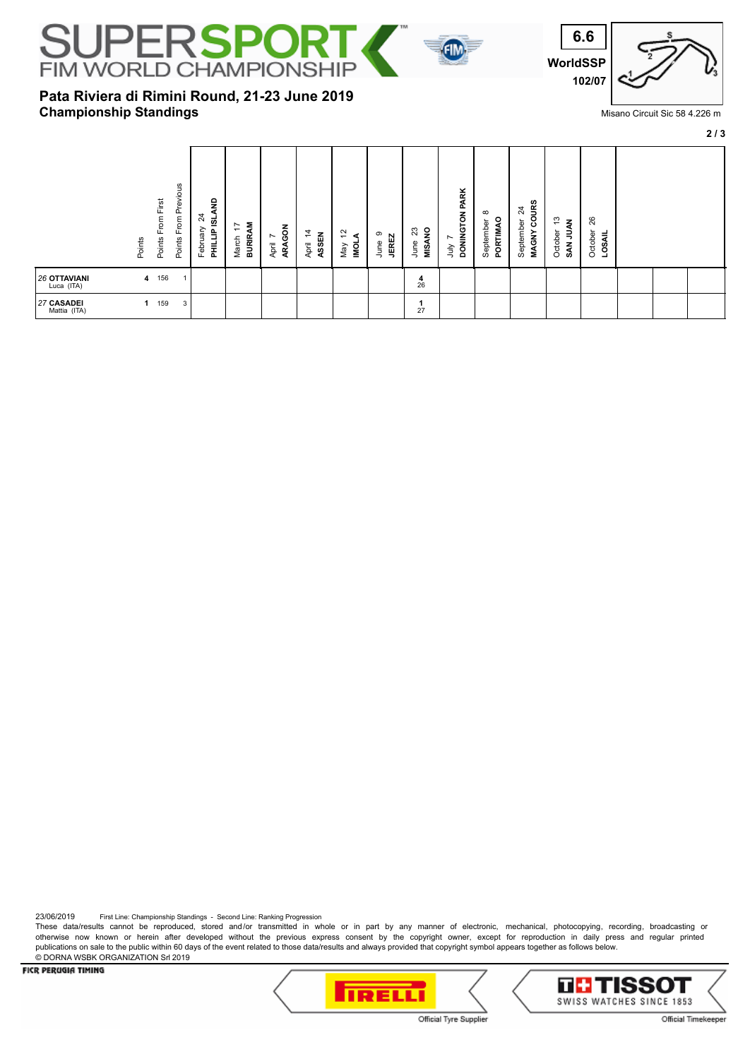

**Pata Riviera di Rimini Round, 21-23 June 2019**

**Championship Standings**



## Misano Circuit Sic 58 4.226 m

**2 / 3**

| From First<br>Points<br>Points             | From Previous<br>Points | £<br>$\overline{\mathcal{Z}}$<br><u>ø</u><br>February<br><b>HITIN</b> | <b>BURIRAM</b><br>₽<br>March | ARAGON<br>$\overline{ }$<br>April | $\dot{4}$<br>ASSEN<br>April | $\tilde{5}$<br>⋖<br><b>INOT</b><br>Viay | თ<br><b>JEREZ</b><br>June | š<br>ಔ<br>MISA<br>June | DONINGTON PARK<br>ήц | $\infty$<br>PORTIMAO<br>September | OURS<br>$\overline{\mathcal{Z}}$<br>September<br>ن<br><b>MAGNY</b> | ా<br>š<br>October<br>₹<br>SAN | 26<br>October<br>LOSAIL |  |  |
|--------------------------------------------|-------------------------|-----------------------------------------------------------------------|------------------------------|-----------------------------------|-----------------------------|-----------------------------------------|---------------------------|------------------------|----------------------|-----------------------------------|--------------------------------------------------------------------|-------------------------------|-------------------------|--|--|
| <b>26 OTTAVIANI</b><br>4 156<br>Luca (ITA) |                         |                                                                       |                              |                                   |                             |                                         |                           | $rac{4}{26}$           |                      |                                   |                                                                    |                               |                         |  |  |
| 27 CASADEI<br>159<br>Mattia (ITA)          | 3                       |                                                                       |                              |                                   |                             |                                         |                           | 27                     |                      |                                   |                                                                    |                               |                         |  |  |

23/06/2019 First Line: Championship Standings - Second Line: Ranking Progression

These data/results cannot be reproduced, stored and/or transmitted in whole or in part by any manner of electronic, mechanical, photocopying, recording, broadcasting or otherwise now known or herein after developed without the previous express consent by the copyright owner, except for reproduction in daily press and regular printed publications on sale to the public within 60 days of the event related to those data/results and always provided that copyright symbol appears together as follows below. © DORNA WSBK ORGANIZATION Srl 2019

FICR PERUGIA TIMING





Official Tyre Supplier

Official Timekeeper